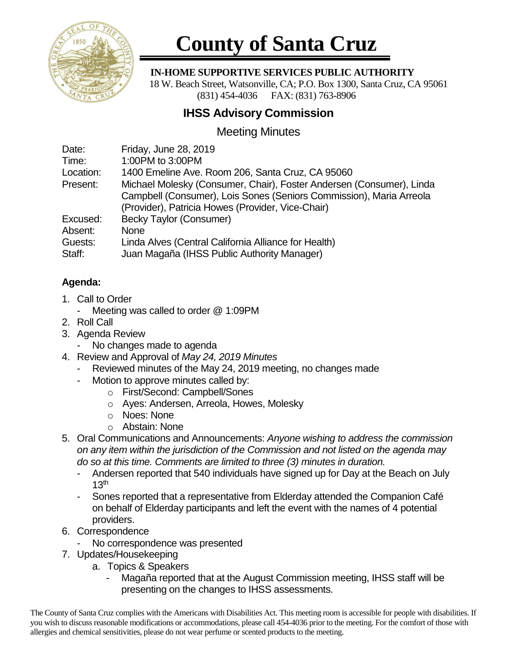

## **County of Santa Cruz**

 **IN-HOME SUPPORTIVE SERVICES PUBLIC AUTHORITY**

 18 W. Beach Street, Watsonville, CA; P.O. Box 1300, Santa Cruz, CA 95061 (831) 454-4036 FAX: (831) 763-8906

## **IHSS Advisory Commission**

## Meeting Minutes

| Date:     | Friday, June 28, 2019                                                |
|-----------|----------------------------------------------------------------------|
| Time:     | 1:00PM to 3:00PM                                                     |
| Location: | 1400 Emeline Ave. Room 206, Santa Cruz, CA 95060                     |
| Present:  | Michael Molesky (Consumer, Chair), Foster Andersen (Consumer), Linda |
|           | Campbell (Consumer), Lois Sones (Seniors Commission), Maria Arreola  |
|           | (Provider), Patricia Howes (Provider, Vice-Chair)                    |
| Excused:  | <b>Becky Taylor (Consumer)</b>                                       |
| Absent:   | <b>None</b>                                                          |
| Guests:   | Linda Alves (Central California Alliance for Health)                 |
| Staff:    | Juan Magaña (IHSS Public Authority Manager)                          |
|           |                                                                      |

## **Agenda:**

- 1. Call to Order
	- Meeting was called to order @ 1:09PM
- 2. Roll Call
- 3. Agenda Review
	- No changes made to agenda
- 4. Review and Approval of *May 24, 2019 Minutes*
	- Reviewed minutes of the May 24, 2019 meeting, no changes made
	- Motion to approve minutes called by:
		- o First/Second: Campbell/Sones
		- o Ayes: Andersen, Arreola, Howes, Molesky
		- o Noes: None
		- o Abstain: None
- 5. Oral Communications and Announcements: *Anyone wishing to address the commission on any item within the jurisdiction of the Commission and not listed on the agenda may do so at this time. Comments are limited to three (3) minutes in duration.*
	- Andersen reported that 540 individuals have signed up for Day at the Beach on July  $13<sup>th</sup>$
	- Sones reported that a representative from Elderday attended the Companion Café on behalf of Elderday participants and left the event with the names of 4 potential providers.
- 6. Correspondence
	- No correspondence was presented
- 7. Updates/Housekeeping
	- a. Topics & Speakers
		- Magaña reported that at the August Commission meeting, IHSS staff will be presenting on the changes to IHSS assessments.

The County of Santa Cruz complies with the Americans with Disabilities Act. This meeting room is accessible for people with disabilities. If you wish to discuss reasonable modifications or accommodations, please call 454-4036 prior to the meeting. For the comfort of those with allergies and chemical sensitivities, please do not wear perfume or scented products to the meeting.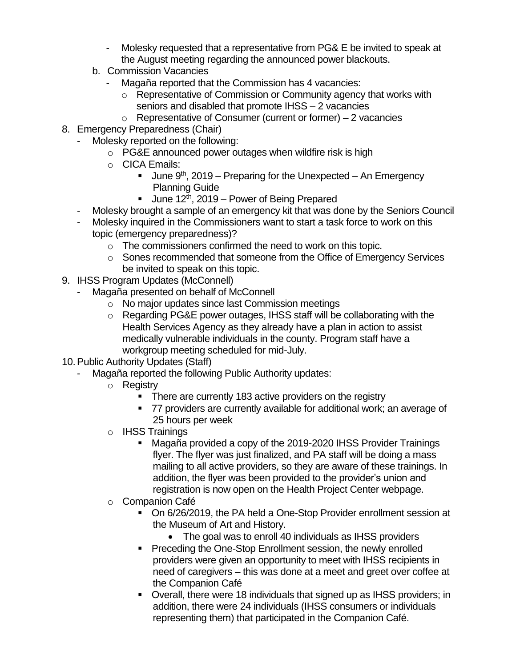- Molesky requested that a representative from PG& E be invited to speak at the August meeting regarding the announced power blackouts.
- b. Commission Vacancies
	- Magaña reported that the Commission has 4 vacancies:
		- o Representative of Commission or Community agency that works with seniors and disabled that promote IHSS – 2 vacancies
		- $\circ$  Representative of Consumer (current or former) 2 vacancies
- 8. Emergency Preparedness (Chair)
	- Molesky reported on the following:
		- o PG&E announced power outages when wildfire risk is high
		- o CICA Emails:
			- **■** June  $9<sup>th</sup>$ , 2019 Preparing for the Unexpected An Emergency Planning Guide
			- **U** June 12<sup>th</sup>, 2019 Power of Being Prepared
	- Molesky brought a sample of an emergency kit that was done by the Seniors Council
	- Molesky inquired in the Commissioners want to start a task force to work on this topic (emergency preparedness)?
		- o The commissioners confirmed the need to work on this topic.
		- o Sones recommended that someone from the Office of Emergency Services be invited to speak on this topic.
- 9. IHSS Program Updates (McConnell)
	- Magaña presented on behalf of McConnell
		- o No major updates since last Commission meetings
		- o Regarding PG&E power outages, IHSS staff will be collaborating with the Health Services Agency as they already have a plan in action to assist medically vulnerable individuals in the county. Program staff have a workgroup meeting scheduled for mid-July.
- 10.Public Authority Updates (Staff)
	- Magaña reported the following Public Authority updates:
		- o Registry
			- There are currently 183 active providers on the registry
			- 77 providers are currently available for additional work; an average of 25 hours per week
		- o IHSS Trainings
			- Magaña provided a copy of the 2019-2020 IHSS Provider Trainings flyer. The flyer was just finalized, and PA staff will be doing a mass mailing to all active providers, so they are aware of these trainings. In addition, the flyer was been provided to the provider's union and registration is now open on the Health Project Center webpage.
		- o Companion Café
			- On 6/26/2019, the PA held a One-Stop Provider enrollment session at the Museum of Art and History.
				- The goal was to enroll 40 individuals as IHSS providers
			- Preceding the One-Stop Enrollment session, the newly enrolled providers were given an opportunity to meet with IHSS recipients in need of caregivers – this was done at a meet and greet over coffee at the Companion Café
			- Overall, there were 18 individuals that signed up as IHSS providers; in addition, there were 24 individuals (IHSS consumers or individuals representing them) that participated in the Companion Café.